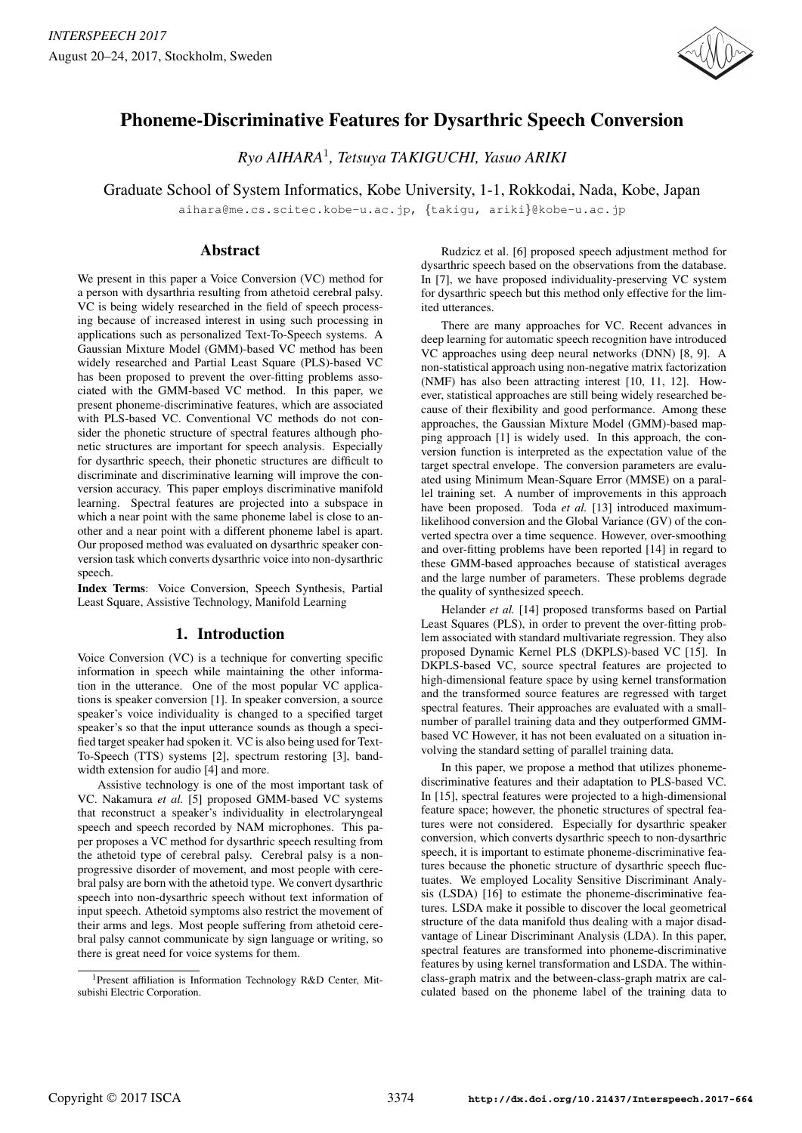

# Phoneme-Discriminative Features for Dysarthric Speech Conversion

*Ryo AIHARA*<sup>1</sup> *, Tetsuya TAKIGUCHI, Yasuo ARIKI*

Graduate School of System Informatics, Kobe University, 1-1, Rokkodai, Nada, Kobe, Japan

aihara@me.cs.scitec.kobe-u.ac.jp, *{*takigu, ariki*}*@kobe-u.ac.jp

## Abstract

We present in this paper a Voice Conversion (VC) method for a person with dysarthria resulting from athetoid cerebral palsy. VC is being widely researched in the field of speech processing because of increased interest in using such processing in applications such as personalized Text-To-Speech systems. A Gaussian Mixture Model (GMM)-based VC method has been widely researched and Partial Least Square (PLS)-based VC has been proposed to prevent the over-fitting problems associated with the GMM-based VC method. In this paper, we present phoneme-discriminative features, which are associated with PLS-based VC. Conventional VC methods do not consider the phonetic structure of spectral features although phonetic structures are important for speech analysis. Especially for dysarthric speech, their phonetic structures are difficult to discriminate and discriminative learning will improve the conversion accuracy. This paper employs discriminative manifold learning. Spectral features are projected into a subspace in which a near point with the same phoneme label is close to another and a near point with a different phoneme label is apart. Our proposed method was evaluated on dysarthric speaker conversion task which converts dysarthric voice into non-dysarthric speech.

Index Terms: Voice Conversion, Speech Synthesis, Partial Least Square, Assistive Technology, Manifold Learning

## 1. Introduction

Voice Conversion (VC) is a technique for converting specific information in speech while maintaining the other information in the utterance. One of the most popular VC applications is speaker conversion [1]. In speaker conversion, a source speaker's voice individuality is changed to a specified target speaker's so that the input utterance sounds as though a specified target speaker had spoken it. VC is also being used for Text-To-Speech (TTS) systems [2], spectrum restoring [3], bandwidth extension for audio [4] and more.

Assistive technology is one of the most important task of VC. Nakamura *et al.* [5] proposed GMM-based VC systems that reconstruct a speaker's individuality in electrolaryngeal speech and speech recorded by NAM microphones. This paper proposes a VC method for dysarthric speech resulting from the athetoid type of cerebral palsy. Cerebral palsy is a nonprogressive disorder of movement, and most people with cerebral palsy are born with the athetoid type. We convert dysarthric speech into non-dysarthric speech without text information of input speech. Athetoid symptoms also restrict the movement of their arms and legs. Most people suffering from athetoid cerebral palsy cannot communicate by sign language or writing, so there is great need for voice systems for them.

Rudzicz et al. [6] proposed speech adjustment method for dysarthric speech based on the observations from the database. In [7], we have proposed individuality-preserving VC system for dysarthric speech but this method only effective for the limited utterances.

There are many approaches for VC. Recent advances in deep learning for automatic speech recognition have introduced VC approaches using deep neural networks (DNN) [8, 9]. A non-statistical approach using non-negative matrix factorization (NMF) has also been attracting interest [10, 11, 12]. However, statistical approaches are still being widely researched because of their flexibility and good performance. Among these approaches, the Gaussian Mixture Model (GMM)-based mapping approach [1] is widely used. In this approach, the conversion function is interpreted as the expectation value of the target spectral envelope. The conversion parameters are evaluated using Minimum Mean-Square Error (MMSE) on a parallel training set. A number of improvements in this approach have been proposed. Toda *et al.* [13] introduced maximumlikelihood conversion and the Global Variance (GV) of the converted spectra over a time sequence. However, over-smoothing and over-fitting problems have been reported [14] in regard to these GMM-based approaches because of statistical averages and the large number of parameters. These problems degrade the quality of synthesized speech.

Helander *et al.* [14] proposed transforms based on Partial Least Squares (PLS), in order to prevent the over-fitting problem associated with standard multivariate regression. They also proposed Dynamic Kernel PLS (DKPLS)-based VC [15]. In DKPLS-based VC, source spectral features are projected to high-dimensional feature space by using kernel transformation and the transformed source features are regressed with target spectral features. Their approaches are evaluated with a smallnumber of parallel training data and they outperformed GMMbased VC However, it has not been evaluated on a situation involving the standard setting of parallel training data.

In this paper, we propose a method that utilizes phonemediscriminative features and their adaptation to PLS-based VC. In [15], spectral features were projected to a high-dimensional feature space; however, the phonetic structures of spectral features were not considered. Especially for dysarthric speaker conversion, which converts dysarthric speech to non-dysarthric speech, it is important to estimate phoneme-discriminative features because the phonetic structure of dysarthric speech fluctuates. We employed Locality Sensitive Discriminant Analysis (LSDA) [16] to estimate the phoneme-discriminative features. LSDA make it possible to discover the local geometrical structure of the data manifold thus dealing with a major disadvantage of Linear Discriminant Analysis (LDA). In this paper, spectral features are transformed into phoneme-discriminative features by using kernel transformation and LSDA. The withinclass-graph matrix and the between-class-graph matrix are calculated based on the phoneme label of the training data to

<sup>1</sup>Present affiliation is Information Technology R&D Center, Mitsubishi Electric Corporation.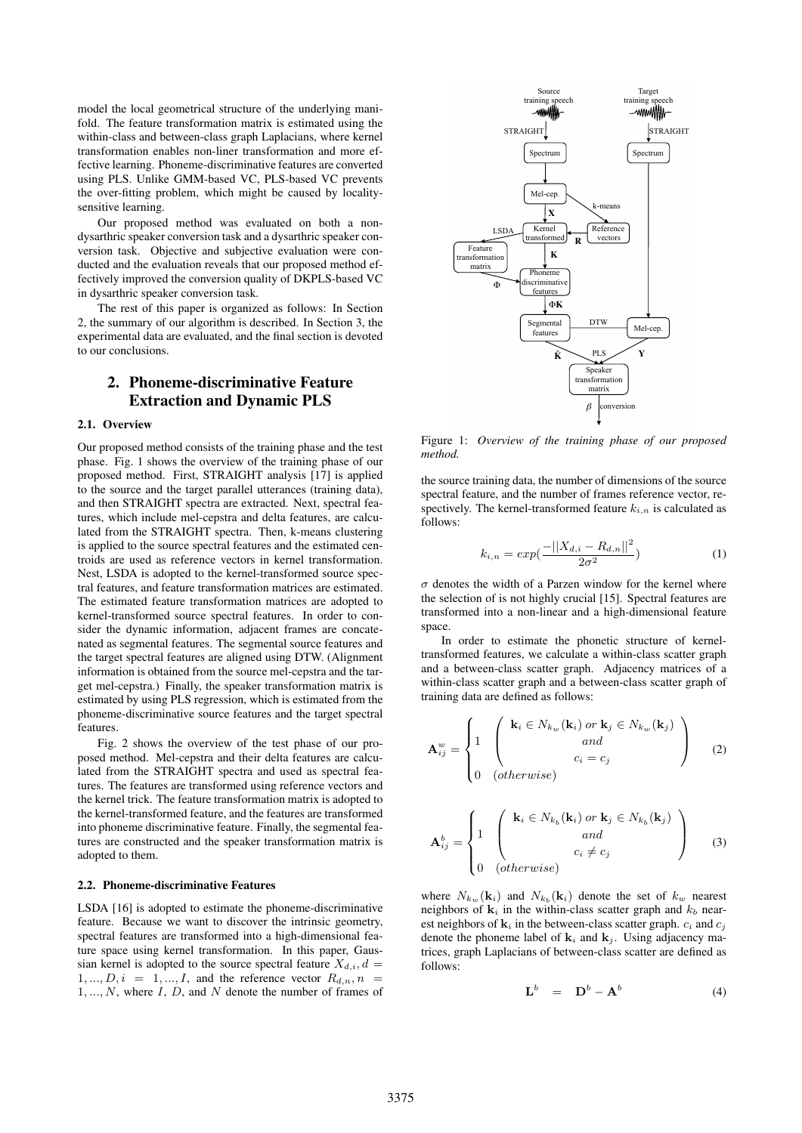model the local geometrical structure of the underlying manifold. The feature transformation matrix is estimated using the within-class and between-class graph Laplacians, where kernel transformation enables non-liner transformation and more effective learning. Phoneme-discriminative features are converted using PLS. Unlike GMM-based VC, PLS-based VC prevents the over-fitting problem, which might be caused by localitysensitive learning.

Our proposed method was evaluated on both a nondysarthric speaker conversion task and a dysarthric speaker conversion task. Objective and subjective evaluation were conducted and the evaluation reveals that our proposed method effectively improved the conversion quality of DKPLS-based VC in dysarthric speaker conversion task.

The rest of this paper is organized as follows: In Section 2, the summary of our algorithm is described. In Section 3, the experimental data are evaluated, and the final section is devoted to our conclusions.

## 2. Phoneme-discriminative Feature Extraction and Dynamic PLS

#### 2.1. Overview

Our proposed method consists of the training phase and the test phase. Fig. 1 shows the overview of the training phase of our proposed method. First, STRAIGHT analysis [17] is applied to the source and the target parallel utterances (training data), and then STRAIGHT spectra are extracted. Next, spectral features, which include mel-cepstra and delta features, are calculated from the STRAIGHT spectra. Then, k-means clustering is applied to the source spectral features and the estimated centroids are used as reference vectors in kernel transformation. Nest, LSDA is adopted to the kernel-transformed source spectral features, and feature transformation matrices are estimated. The estimated feature transformation matrices are adopted to kernel-transformed source spectral features. In order to consider the dynamic information, adjacent frames are concatenated as segmental features. The segmental source features and the target spectral features are aligned using DTW. (Alignment information is obtained from the source mel-cepstra and the target mel-cepstra.) Finally, the speaker transformation matrix is estimated by using PLS regression, which is estimated from the phoneme-discriminative source features and the target spectral features.

Fig. 2 shows the overview of the test phase of our proposed method. Mel-cepstra and their delta features are calculated from the STRAIGHT spectra and used as spectral features. The features are transformed using reference vectors and the kernel trick. The feature transformation matrix is adopted to the kernel-transformed feature, and the features are transformed into phoneme discriminative feature. Finally, the segmental features are constructed and the speaker transformation matrix is adopted to them.

#### 2.2. Phoneme-discriminative Features

LSDA [16] is adopted to estimate the phoneme-discriminative feature. Because we want to discover the intrinsic geometry, spectral features are transformed into a high-dimensional feature space using kernel transformation. In this paper, Gaussian kernel is adopted to the source spectral feature  $X_{d,i}$ ,  $d =$  $1, \ldots, D, i = 1, \ldots, I$ , and the reference vector  $R_{d,n}, n$ 1*, ..., N*, where *I*, *D*, and *N* denote the number of frames of



Figure 1: *Overview of the training phase of our proposed method.*

the source training data, the number of dimensions of the source spectral feature, and the number of frames reference vector, respectively. The kernel-transformed feature  $k_{i,n}$  is calculated as follows:

$$
k_{i,n} = exp(\frac{-||X_{d,i} - R_{d,n}||^2}{2\sigma^2})
$$
\n(1)

 $\sigma$  denotes the width of a Parzen window for the kernel where the selection of is not highly crucial [15]. Spectral features are transformed into a non-linear and a high-dimensional feature space.

In order to estimate the phonetic structure of kerneltransformed features, we calculate a within-class scatter graph and a between-class scatter graph. Adjacency matrices of a within-class scatter graph and a between-class scatter graph of training data are defined as follows:

$$
\mathbf{A}_{ij}^{w} = \begin{cases} 1 & \begin{pmatrix} \mathbf{k}_{i} \in N_{k_{w}}(\mathbf{k}_{i}) \text{ or } \mathbf{k}_{j} \in N_{k_{w}}(\mathbf{k}_{j}) \\ \text{ and } \\ 0 & \text{ (otherwise)} \end{pmatrix} & (2) \end{cases}
$$

$$
\mathbf{A}_{ij}^{b} = \begin{cases} 1 & \left( \mathbf{k}_{i} \in N_{k_{b}}(\mathbf{k}_{i}) \text{ or } \mathbf{k}_{j} \in N_{k_{b}}(\mathbf{k}_{j}) \\ \text{and} \\ 0 & \text{otherwise} \end{cases}
$$
 (3)

where  $N_{k_w}(\mathbf{k}_i)$  and  $N_{k_b}(\mathbf{k}_i)$  denote the set of  $k_w$  nearest neighbors of  $\mathbf{k}_i$  in the within-class scatter graph and  $k_b$  nearest neighbors of  $\mathbf{k}_i$  in the between-class scatter graph.  $c_i$  and  $c_j$ denote the phoneme label of  $\mathbf{k}_i$  and  $\mathbf{k}_j$ . Using adjacency matrices, graph Laplacians of between-class scatter are defined as follows:

$$
\mathbf{L}^{b} = \mathbf{D}^{b} - \mathbf{A}^{b} \tag{4}
$$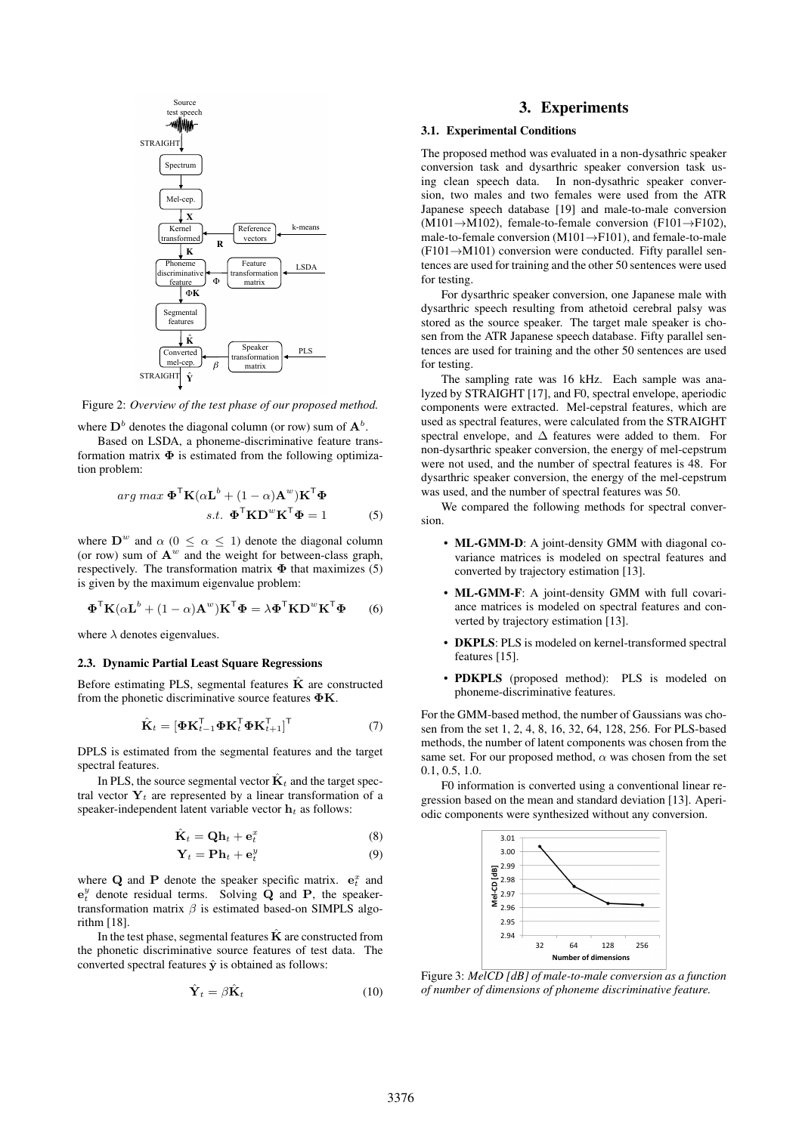

Figure 2: *Overview of the test phase of our proposed method.*

where  $D^b$  denotes the diagonal column (or row) sum of  $A^b$ .

Based on LSDA, a phoneme-discriminative feature transformation matrix  $\Phi$  is estimated from the following optimization problem:

$$
\arg \max \mathbf{\Phi}^{\mathsf{T}} \mathbf{K} (\alpha \mathbf{L}^b + (1 - \alpha) \mathbf{A}^w) \mathbf{K}^{\mathsf{T}} \mathbf{\Phi}
$$
  
s.t. 
$$
\mathbf{\Phi}^{\mathsf{T}} \mathbf{K} \mathbf{D}^w \mathbf{K}^{\mathsf{T}} \mathbf{\Phi} = 1
$$
 (5)

where  $D^w$  and  $\alpha$  ( $0 \le \alpha \le 1$ ) denote the diagonal column (or row) sum of  $A^w$  and the weight for between-class graph, respectively. The transformation matrix **Φ** that maximizes (5) is given by the maximum eigenvalue problem:

$$
\mathbf{\Phi}^{\mathsf{T}} \mathbf{K} (\alpha \mathbf{L}^b + (1 - \alpha) \mathbf{A}^w) \mathbf{K}^{\mathsf{T}} \mathbf{\Phi} = \lambda \mathbf{\Phi}^{\mathsf{T}} \mathbf{K} \mathbf{D}^w \mathbf{K}^{\mathsf{T}} \mathbf{\Phi}
$$
 (6)

where  $\lambda$  denotes eigenvalues.

#### 2.3. Dynamic Partial Least Square Regressions

Before estimating PLS, segmental features  $\hat{\mathbf{K}}$  are constructed from the phonetic discriminative source features **ΦK**.

$$
\hat{\mathbf{K}}_t = [\mathbf{\Phi} \mathbf{K}_{t-1}^\mathsf{T} \mathbf{\Phi} \mathbf{K}_t^\mathsf{T} \mathbf{\Phi} \mathbf{K}_{t+1}^\mathsf{T}]^\mathsf{T} \tag{7}
$$

DPLS is estimated from the segmental features and the target spectral features.

In PLS, the source segmental vector  $\hat{\mathbf{K}}_t$  and the target spectral vector  $Y_t$  are represented by a linear transformation of a speaker-independent latent variable vector **h***<sup>t</sup>* as follows:

$$
\hat{\mathbf{K}}_t = \mathbf{Q} \mathbf{h}_t + \mathbf{e}_t^x \tag{8}
$$

$$
\mathbf{Y}_t = \mathbf{P}\mathbf{h}_t + \mathbf{e}_t^y \tag{9}
$$

where **Q** and **P** denote the speaker specific matrix.  $e_t^x$  and  $e_t^y$  denote residual terms. Solving  $\dot{Q}$  and  $P$ , the speakertransformation matrix *β* is estimated based-on SIMPLS algorithm [18].

In the test phase, segmental features  $\hat{\mathbf{K}}$  are constructed from the phonetic discriminative source features of test data. The converted spectral features  $\hat{y}$  is obtained as follows:

$$
\hat{\mathbf{Y}}_t = \beta \hat{\mathbf{K}}_t \tag{10}
$$

## 3. Experiments

#### 3.1. Experimental Conditions

The proposed method was evaluated in a non-dysathric speaker conversion task and dysarthric speaker conversion task using clean speech data. In non-dysathric speaker conversion, two males and two females were used from the ATR Japanese speech database [19] and male-to-male conversion (M101*→*M102), female-to-female conversion (F101*→*F102), male-to-female conversion (M101*→*F101), and female-to-male (F101*→*M101) conversion were conducted. Fifty parallel sentences are used for training and the other 50 sentences were used for testing.

For dysarthric speaker conversion, one Japanese male with dysarthric speech resulting from athetoid cerebral palsy was stored as the source speaker. The target male speaker is chosen from the ATR Japanese speech database. Fifty parallel sentences are used for training and the other 50 sentences are used for testing.

The sampling rate was 16 kHz. Each sample was analyzed by STRAIGHT [17], and F0, spectral envelope, aperiodic components were extracted. Mel-cepstral features, which are used as spectral features, were calculated from the STRAIGHT spectral envelope, and ∆ features were added to them. For non-dysarthric speaker conversion, the energy of mel-cepstrum were not used, and the number of spectral features is 48. For dysarthric speaker conversion, the energy of the mel-cepstrum was used, and the number of spectral features was 50.

We compared the following methods for spectral conversion.

- ML-GMM-D: A joint-density GMM with diagonal covariance matrices is modeled on spectral features and converted by trajectory estimation [13].
- ML-GMM-F: A joint-density GMM with full covariance matrices is modeled on spectral features and converted by trajectory estimation [13].
- **DKPLS**: PLS is modeled on kernel-transformed spectral features [15].
- PDKPLS (proposed method): PLS is modeled on phoneme-discriminative features.

For the GMM-based method, the number of Gaussians was chosen from the set 1, 2, 4, 8, 16, 32, 64, 128, 256. For PLS-based methods, the number of latent components was chosen from the same set. For our proposed method, *α* was chosen from the set 0.1, 0.5, 1.0.

F0 information is converted using a conventional linear regression based on the mean and standard deviation [13]. Aperiodic components were synthesized without any conversion.



Figure 3: *MelCD [dB] of male-to-male conversion as a function of number of dimensions of phoneme discriminative feature.*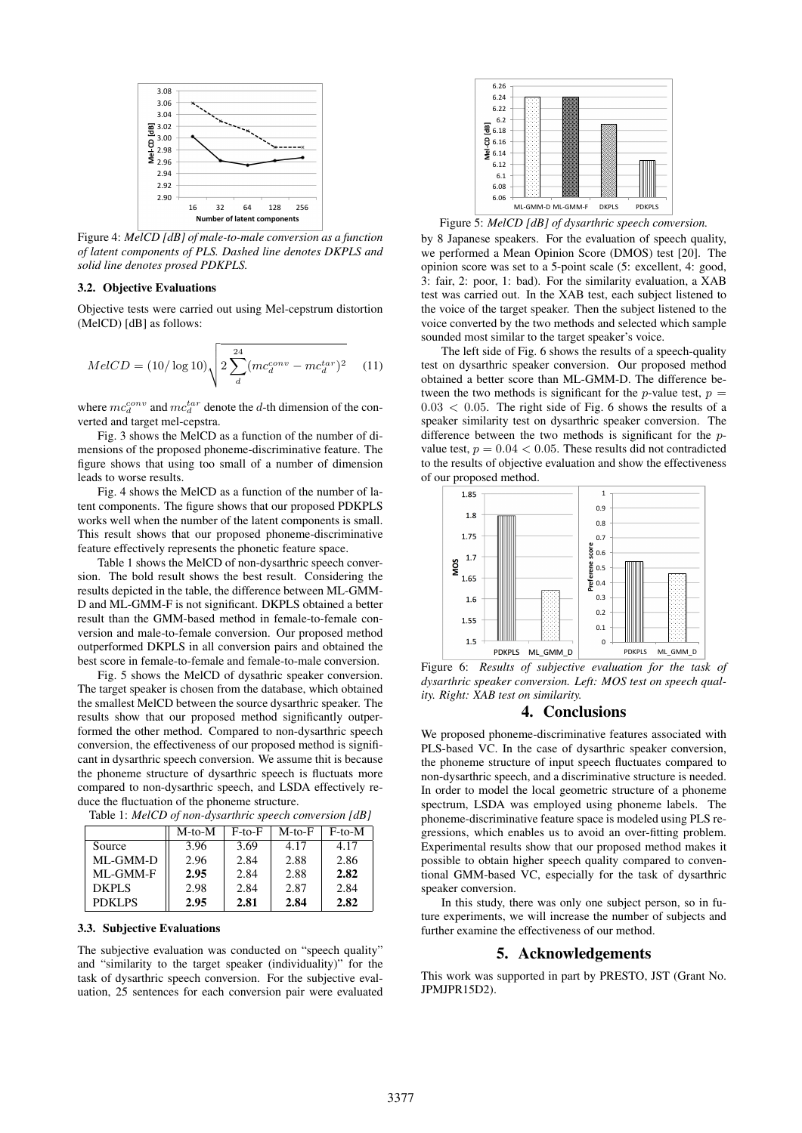

Figure 4: *MelCD [dB] of male-to-male conversion as a function of latent components of PLS. Dashed line denotes DKPLS and solid line denotes prosed PDKPLS.*

## 3.2. Objective Evaluations

Objective tests were carried out using Mel-cepstrum distortion (MelCD) [dB] as follows:

$$
MelCD = (10/\log 10) \sqrt{2 \sum_{d}^{24} (mc_d^{conv} - mc_d^{tar})^2}
$$
 (11)

where  $mc_d^{conv}$  and  $mc_d^{tar}$  denote the *d*-th dimension of the converted and target mel-cepstra.

Fig. 3 shows the MelCD as a function of the number of dimensions of the proposed phoneme-discriminative feature. The figure shows that using too small of a number of dimension leads to worse results.

Fig. 4 shows the MelCD as a function of the number of latent components. The figure shows that our proposed PDKPLS works well when the number of the latent components is small. This result shows that our proposed phoneme-discriminative feature effectively represents the phonetic feature space.

Table 1 shows the MelCD of non-dysarthric speech conversion. The bold result shows the best result. Considering the results depicted in the table, the difference between ML-GMM-D and ML-GMM-F is not significant. DKPLS obtained a better result than the GMM-based method in female-to-female conversion and male-to-female conversion. Our proposed method outperformed DKPLS in all conversion pairs and obtained the best score in female-to-female and female-to-male conversion.

Fig. 5 shows the MelCD of dysathric speaker conversion. The target speaker is chosen from the database, which obtained the smallest MelCD between the source dysarthric speaker. The results show that our proposed method significantly outperformed the other method. Compared to non-dysarthric speech conversion, the effectiveness of our proposed method is significant in dysarthric speech conversion. We assume thit is because the phoneme structure of dysarthric speech is fluctuats more compared to non-dysarthric speech, and LSDA effectively reduce the fluctuation of the phoneme structure.

|              | $M$ -to- $M$ | $F$ -to- $F$ | $M$ -to- $F$ | $F$ -to-M |
|--------------|--------------|--------------|--------------|-----------|
| Source       | 3.96         | 3.69         | 4.17         | 4.17      |
| ML-GMM-D     | 2.96         | 2.84         | 2.88         | 2.86      |
| ML-GMM-F     | 2.95         | 2.84         | 2.88         | 2.82      |
| <b>DKPLS</b> | 2.98         | 2.84         | 2.87         | 2.84      |

PDKLPS || 2.95 | 2.81 | 2.84 | 2.82

Table 1: *MelCD of non-dysarthric speech conversion [dB]*

#### 3.3. Subjective Evaluations

The subjective evaluation was conducted on "speech quality" and "similarity to the target speaker (individuality)" for the task of dysarthric speech conversion. For the subjective evaluation, 25 sentences for each conversion pair were evaluated



Figure 5: *MelCD [dB] of dysarthric speech conversion.*

by 8 Japanese speakers. For the evaluation of speech quality, we performed a Mean Opinion Score (DMOS) test [20]. The opinion score was set to a 5-point scale (5: excellent, 4: good, 3: fair, 2: poor, 1: bad). For the similarity evaluation, a XAB test was carried out. In the XAB test, each subject listened to the voice of the target speaker. Then the subject listened to the voice converted by the two methods and selected which sample sounded most similar to the target speaker's voice.

The left side of Fig. 6 shows the results of a speech-quality test on dysarthric speaker conversion. Our proposed method obtained a better score than ML-GMM-D. The difference between the two methods is significant for the *p*-value test,  $p =$  $0.03 < 0.05$ . The right side of Fig. 6 shows the results of a speaker similarity test on dysarthric speaker conversion. The difference between the two methods is significant for the *p*value test,  $p = 0.04 < 0.05$ . These results did not contradicted to the results of objective evaluation and show the effectiveness of our proposed method.



Figure 6: *Results of subjective evaluation for the task of dysarthric speaker conversion. Left: MOS test on speech quality. Right: XAB test on similarity.*

## 4. Conclusions

We proposed phoneme-discriminative features associated with PLS-based VC. In the case of dysarthric speaker conversion, the phoneme structure of input speech fluctuates compared to non-dysarthric speech, and a discriminative structure is needed. In order to model the local geometric structure of a phoneme spectrum, LSDA was employed using phoneme labels. The phoneme-discriminative feature space is modeled using PLS regressions, which enables us to avoid an over-fitting problem. Experimental results show that our proposed method makes it possible to obtain higher speech quality compared to conventional GMM-based VC, especially for the task of dysarthric speaker conversion.

In this study, there was only one subject person, so in future experiments, we will increase the number of subjects and further examine the effectiveness of our method.

## 5. Acknowledgements

This work was supported in part by PRESTO, JST (Grant No. JPMJPR15D2).